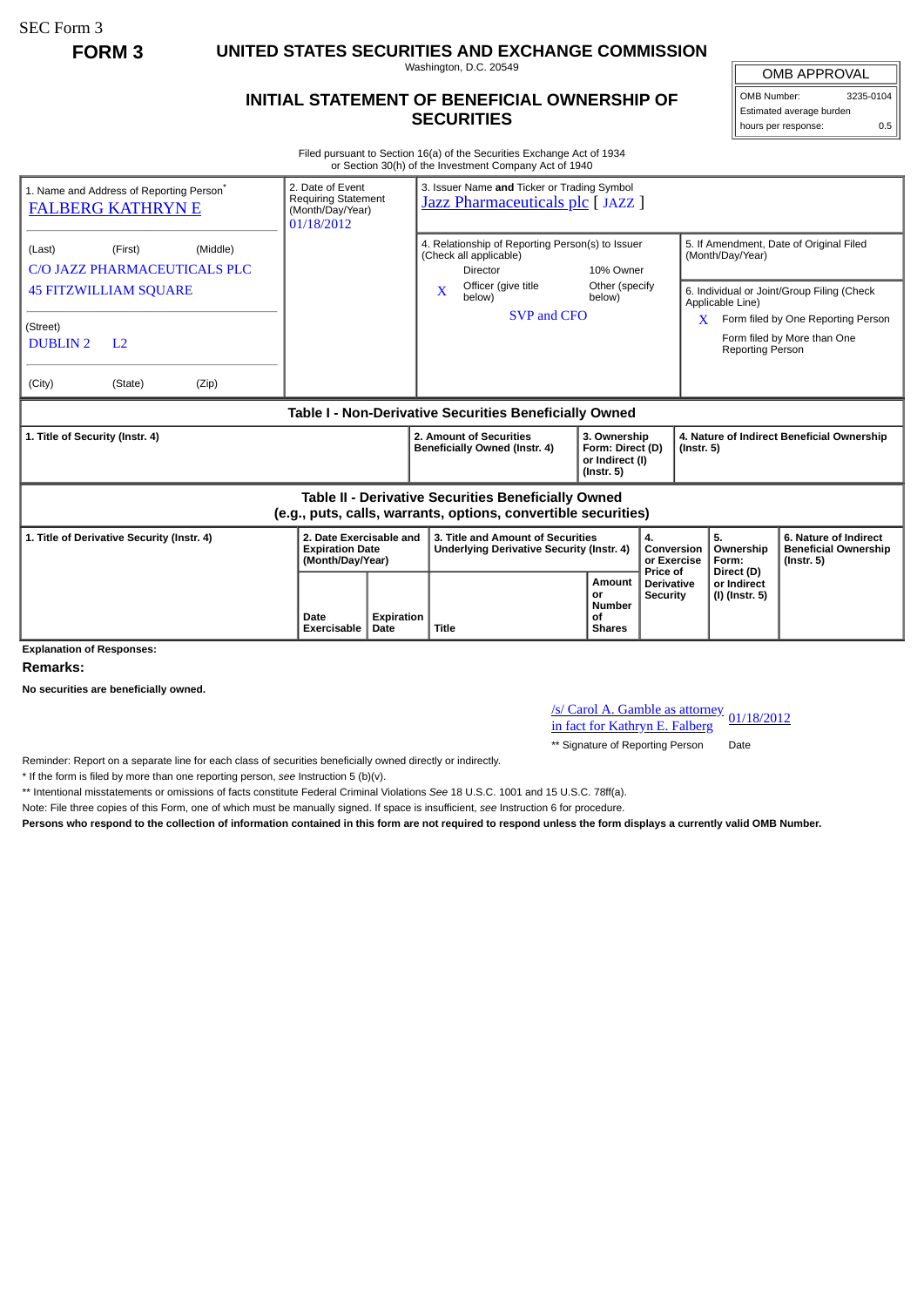SEC Form 3

**FORM 3 UNITED STATES SECURITIES AND EXCHANGE COMMISSION**

Washington, D.C. 20549

## **INITIAL STATEMENT OF BENEFICIAL OWNERSHIP OF SECURITIES**

OMB APPROVAL OMB Number: 3235-0104

Estimated average burden hours per response: 0.5

Filed pursuant to Section 16(a) of the Securities Exchange Act of 1934 or Section 30(h) of the Investment Company Act of 1940

| 2. Date of Event<br>1. Name and Address of Reporting Person <sup>®</sup><br><b>Requiring Statement</b><br><b>FALBERG KATHRYN E</b><br>(Month/Day/Year)<br>01/18/2012 |                                                                       |            | 3. Issuer Name and Ticker or Trading Symbol<br><u>Jazz Pharmaceuticals plc</u> [ JAZZ ]                                                                                         |                                                             |                                                                |                                                                      |                                                                                                                                                            |  |
|----------------------------------------------------------------------------------------------------------------------------------------------------------------------|-----------------------------------------------------------------------|------------|---------------------------------------------------------------------------------------------------------------------------------------------------------------------------------|-------------------------------------------------------------|----------------------------------------------------------------|----------------------------------------------------------------------|------------------------------------------------------------------------------------------------------------------------------------------------------------|--|
| (Middle)<br>(First)<br>(Last)<br>C/O JAZZ PHARMACEUTICALS PLC<br><b>45 FITZWILLIAM SQUARE</b><br>(Street)<br><b>DUBLIN2</b><br>L <sub>2</sub>                        |                                                                       |            | 4. Relationship of Reporting Person(s) to Issuer<br>(Check all applicable)<br><b>Director</b><br>Officer (give title<br>$\overline{\mathbf{X}}$<br>below)<br><b>SVP and CFO</b> | 10% Owner<br>Other (specify<br>below)                       |                                                                | (Month/Day/Year)<br>Applicable Line)<br>X<br><b>Reporting Person</b> | 5. If Amendment, Date of Original Filed<br>6. Individual or Joint/Group Filing (Check<br>Form filed by One Reporting Person<br>Form filed by More than One |  |
| (Zip)<br>(City)<br>(State)                                                                                                                                           |                                                                       |            |                                                                                                                                                                                 |                                                             |                                                                |                                                                      |                                                                                                                                                            |  |
| Table I - Non-Derivative Securities Beneficially Owned                                                                                                               |                                                                       |            |                                                                                                                                                                                 |                                                             |                                                                |                                                                      |                                                                                                                                                            |  |
| 1. Title of Security (Instr. 4)                                                                                                                                      |                                                                       |            | 2. Amount of Securities<br>3. Ownership<br>Beneficially Owned (Instr. 4)<br>Form: Direct (D)<br>or Indirect (I)<br>$($ lnstr. 5 $)$                                             |                                                             | 4. Nature of Indirect Beneficial Ownership<br>$($ lnstr. 5 $)$ |                                                                      |                                                                                                                                                            |  |
| <b>Table II - Derivative Securities Beneficially Owned</b><br>(e.g., puts, calls, warrants, options, convertible securities)                                         |                                                                       |            |                                                                                                                                                                                 |                                                             |                                                                |                                                                      |                                                                                                                                                            |  |
| 1. Title of Derivative Security (Instr. 4)                                                                                                                           | 2. Date Exercisable and<br><b>Expiration Date</b><br>(Month/Day/Year) |            | 3. Title and Amount of Securities<br>Underlying Derivative Security (Instr. 4)                                                                                                  | 4.<br>Conversion<br>or Exercise                             |                                                                | 5.<br>Ownership<br>Form:                                             | 6. Nature of Indirect<br><b>Beneficial Ownership</b><br>$($ lnstr. 5 $)$                                                                                   |  |
| <b>Explanation of Responses:</b>                                                                                                                                     | Date<br>Exercisable<br><b>Date</b>                                    | Expiration | <b>Title</b>                                                                                                                                                                    | <b>Amount</b><br>or<br><b>Number</b><br>Οf<br><b>Shares</b> | Price of<br><b>Derivative</b><br><b>Security</b>               | Direct (D)<br>or Indirect<br>(I) (Instr. 5)                          |                                                                                                                                                            |  |

**Remarks:**

**No securities are beneficially owned.**

/s/ Carol A. Gamble as attorney 01/18/2012 in fact for Kathryn E. Falberg

\*\* Signature of Reporting Person Date

Reminder: Report on a separate line for each class of securities beneficially owned directly or indirectly.

\* If the form is filed by more than one reporting person, *see* Instruction 5 (b)(v).

\*\* Intentional misstatements or omissions of facts constitute Federal Criminal Violations *See* 18 U.S.C. 1001 and 15 U.S.C. 78ff(a).

Note: File three copies of this Form, one of which must be manually signed. If space is insufficient, *see* Instruction 6 for procedure.

**Persons who respond to the collection of information contained in this form are not required to respond unless the form displays a currently valid OMB Number.**